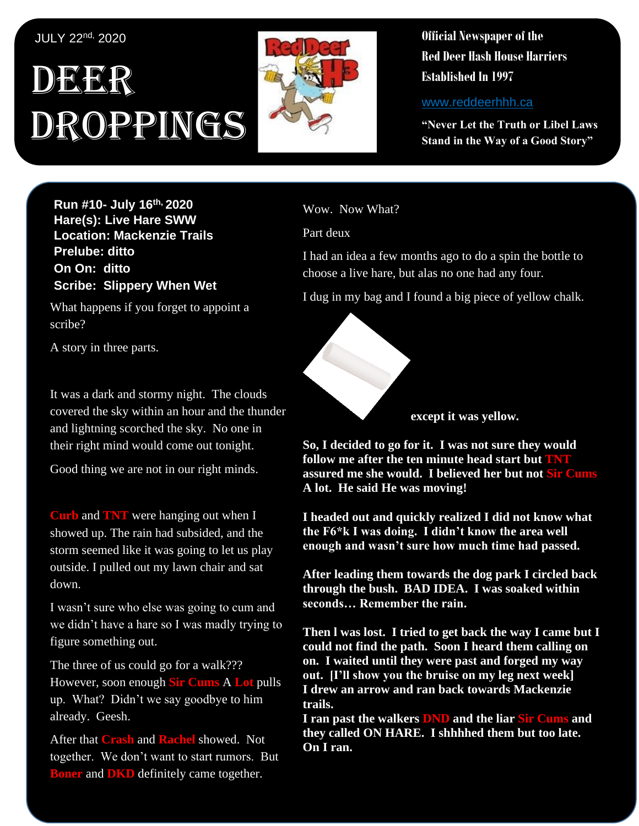## JULY 22nd, 2020

# DEER Droppings



**Official Newspaper of the Red Deer Hash House Harriers Established In 1997** 

www.reddeerhhh.ca

**"Never Let the Truth or Libel Laws Stand in the Way of a Good Story"**

**Run #10- July 16th, 2020 Hare(s): Live Hare SWW Location: Mackenzie Trails Prelube: ditto On On: ditto Scribe: Slippery When Wet**

What happens if you forget to appoint a scribe?

A story in three parts.

It was a dark and stormy night. The clouds covered the sky within an hour and the thunder and lightning scorched the sky. No one in their right mind would come out tonight.

Good thing we are not in our right minds.

**Curb** and **TNT** were hanging out when I showed up. The rain had subsided, and the storm seemed like it was going to let us play outside. I pulled out my lawn chair and sat down.

I wasn't sure who else was going to cum and we didn't have a hare so I was madly trying to figure something out.

The three of us could go for a walk??? However, soon enough **Sir Cums** A **Lot** pulls up. What? Didn't we say goodbye to him already. Geesh.

After that **Crash** and **Rachel** showed. Not together. We don't want to start rumors. But **Boner** and **DKD** definitely came together.

Wow. Now What?

Part deux

I had an idea a few months ago to do a spin the bottle to choose a live hare, but alas no one had any four.

I dug in my bag and I found a big piece of yellow chalk.



**except it was yellow.**

**So, I decided to go for it. I was not sure they would follow me after the ten minute head start but TNT assured me she would. I believed her but not Sir Cums A lot. He said He was moving!**

**I headed out and quickly realized I did not know what the F6\*k I was doing. I didn't know the area well enough and wasn't sure how much time had passed.** 

**After leading them towards the dog park I circled back through the bush. BAD IDEA. I was soaked within seconds… Remember the rain.**

**Then l was lost. I tried to get back the way I came but I could not find the path. Soon I heard them calling on on. I waited until they were past and forged my way out. [I'll show you the bruise on my leg next week] I drew an arrow and ran back towards Mackenzie trails.** 

**I ran past the walkers DND and the liar Sir Cums and they called ON HARE. I shhhhed them but too late. On I ran.**